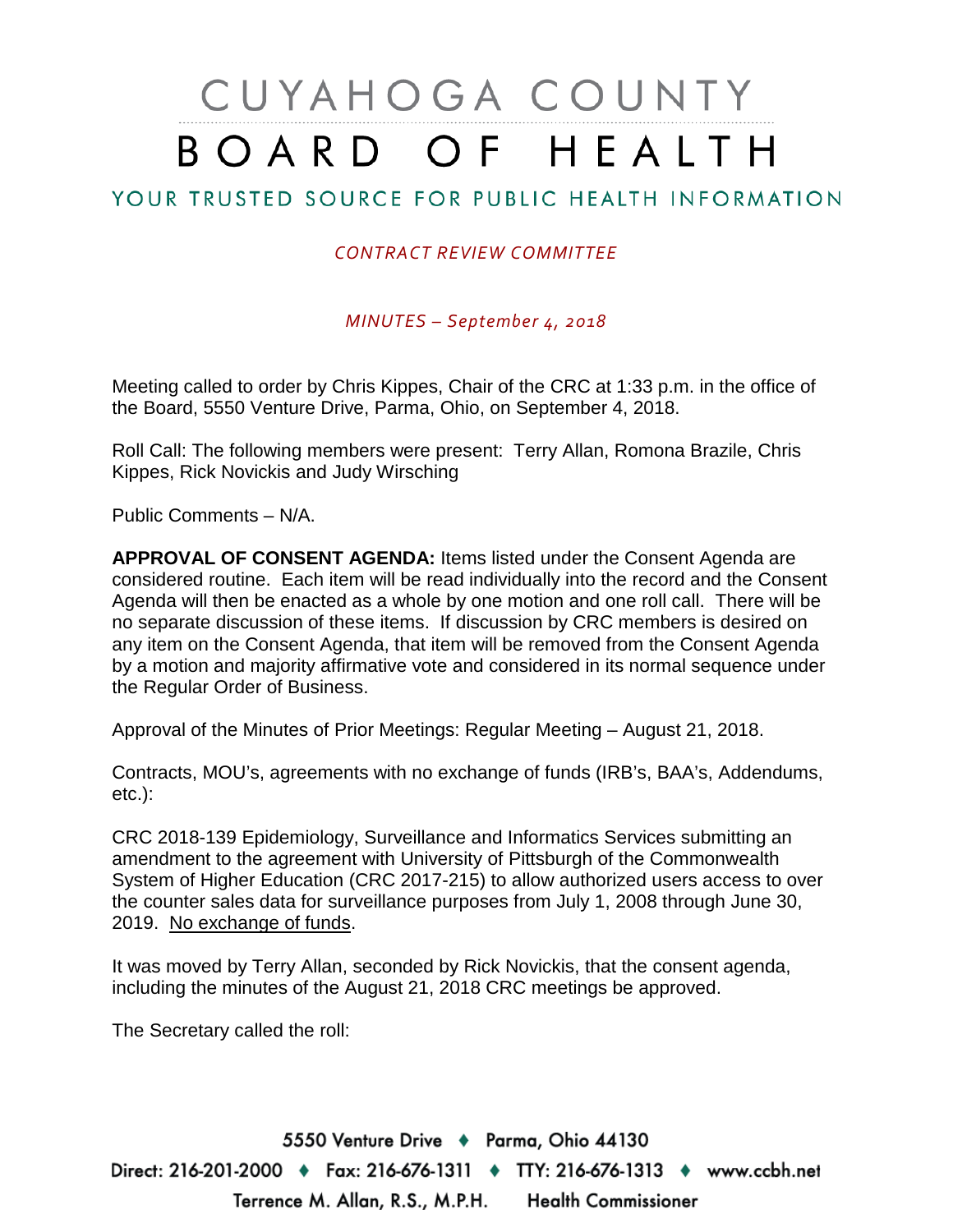## CUYAHOGA COUNTY BOARD OF HEALTH

## YOUR TRUSTED SOURCE FOR PUBLIC HEALTH INFORMATION

## *CONTRACT REVIEW COMMITTEE*

*MINUTES – September 4, 2018*

Meeting called to order by Chris Kippes, Chair of the CRC at 1:33 p.m. in the office of the Board, 5550 Venture Drive, Parma, Ohio, on September 4, 2018.

Roll Call: The following members were present: Terry Allan, Romona Brazile, Chris Kippes, Rick Novickis and Judy Wirsching

Public Comments – N/A.

**APPROVAL OF CONSENT AGENDA:** Items listed under the Consent Agenda are considered routine. Each item will be read individually into the record and the Consent Agenda will then be enacted as a whole by one motion and one roll call. There will be no separate discussion of these items. If discussion by CRC members is desired on any item on the Consent Agenda, that item will be removed from the Consent Agenda by a motion and majority affirmative vote and considered in its normal sequence under the Regular Order of Business.

Approval of the Minutes of Prior Meetings: Regular Meeting – August 21, 2018.

Contracts, MOU's, agreements with no exchange of funds (IRB's, BAA's, Addendums, etc.):

CRC 2018-139 Epidemiology, Surveillance and Informatics Services submitting an amendment to the agreement with University of Pittsburgh of the Commonwealth System of Higher Education (CRC 2017-215) to allow authorized users access to over the counter sales data for surveillance purposes from July 1, 2008 through June 30, 2019. No exchange of funds.

It was moved by Terry Allan, seconded by Rick Novickis, that the consent agenda, including the minutes of the August 21, 2018 CRC meetings be approved.

The Secretary called the roll:

5550 Venture Drive + Parma, Ohio 44130 Direct: 216-201-2000 ♦ Fax: 216-676-1311 ♦ TTY: 216-676-1313 ♦ www.ccbh.net Terrence M. Allan, R.S., M.P.H. Health Commissioner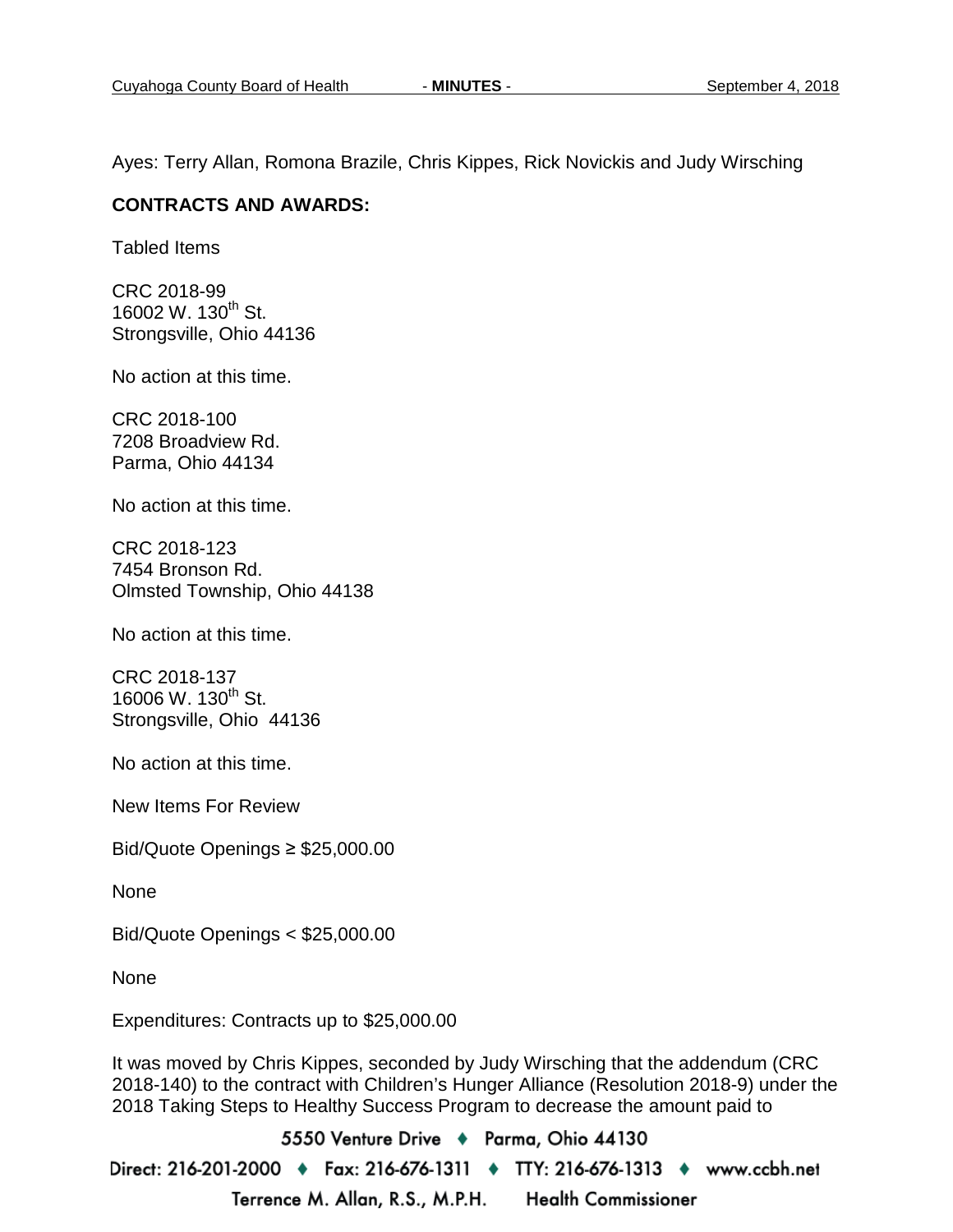Ayes: Terry Allan, Romona Brazile, Chris Kippes, Rick Novickis and Judy Wirsching

## **CONTRACTS AND AWARDS:**

Tabled Items

CRC 2018-99 16002 W. 130<sup>th</sup> St. Strongsville, Ohio 44136

No action at this time.

CRC 2018-100 7208 Broadview Rd. Parma, Ohio 44134

No action at this time.

CRC 2018-123 7454 Bronson Rd. Olmsted Township, Ohio 44138

No action at this time.

CRC 2018-137 16006 W. 130<sup>th</sup> St. Strongsville, Ohio 44136

No action at this time.

New Items For Review

Bid/Quote Openings ≥ \$25,000.00

None

Bid/Quote Openings < \$25,000.00

None

Expenditures: Contracts up to \$25,000.00

It was moved by Chris Kippes, seconded by Judy Wirsching that the addendum (CRC 2018-140) to the contract with Children's Hunger Alliance (Resolution 2018-9) under the 2018 Taking Steps to Healthy Success Program to decrease the amount paid to

5550 Venture Drive + Parma, Ohio 44130 Direct: 216-201-2000 ♦ Fax: 216-676-1311 ♦ TTY: 216-676-1313 ♦ www.ccbh.net Terrence M. Allan, R.S., M.P.H. **Health Commissioner**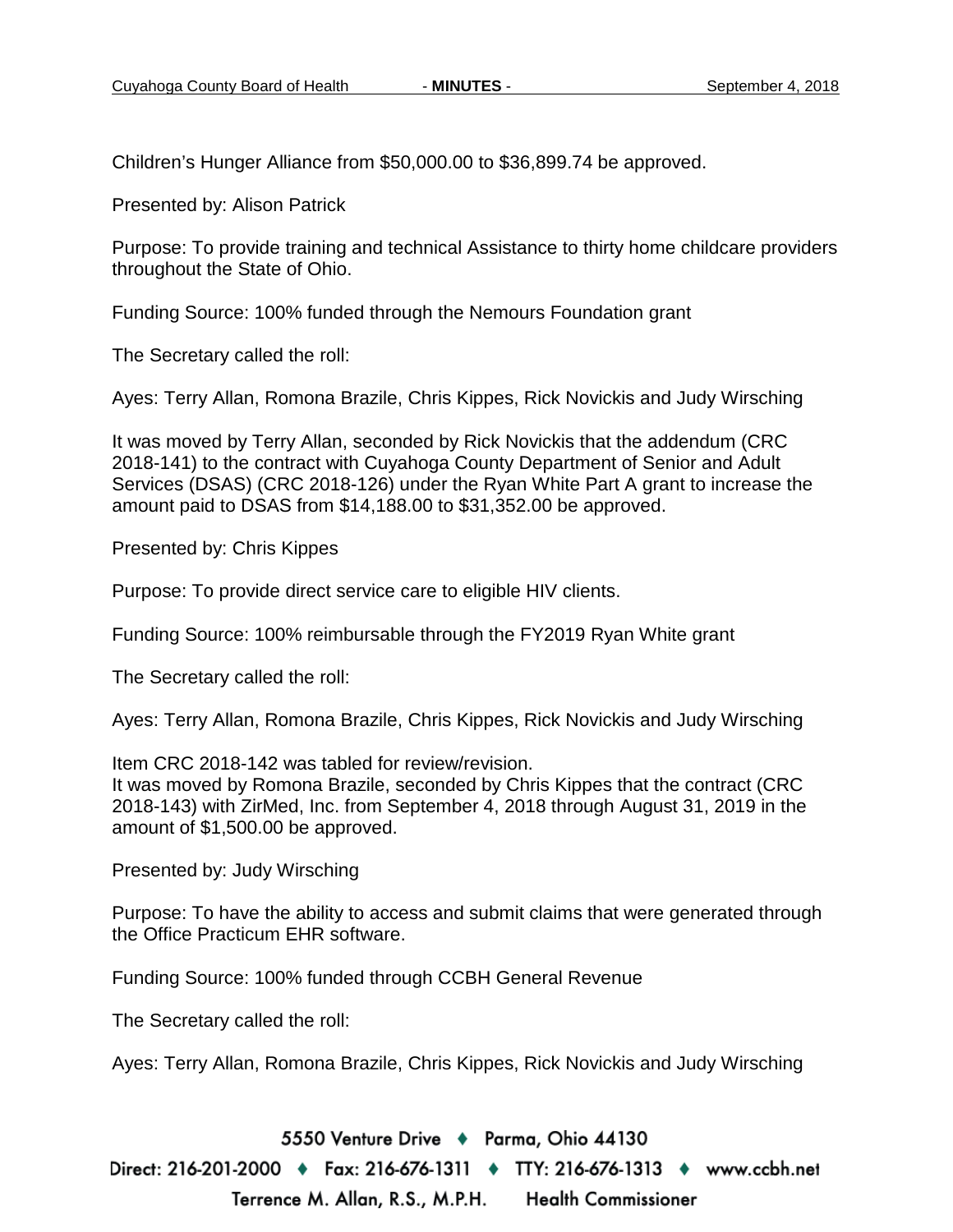Children's Hunger Alliance from \$50,000.00 to \$36,899.74 be approved.

Presented by: Alison Patrick

Purpose: To provide training and technical Assistance to thirty home childcare providers throughout the State of Ohio.

Funding Source: 100% funded through the Nemours Foundation grant

The Secretary called the roll:

Ayes: Terry Allan, Romona Brazile, Chris Kippes, Rick Novickis and Judy Wirsching

It was moved by Terry Allan, seconded by Rick Novickis that the addendum (CRC 2018-141) to the contract with Cuyahoga County Department of Senior and Adult Services (DSAS) (CRC 2018-126) under the Ryan White Part A grant to increase the amount paid to DSAS from \$14,188.00 to \$31,352.00 be approved.

Presented by: Chris Kippes

Purpose: To provide direct service care to eligible HIV clients.

Funding Source: 100% reimbursable through the FY2019 Ryan White grant

The Secretary called the roll:

Ayes: Terry Allan, Romona Brazile, Chris Kippes, Rick Novickis and Judy Wirsching

Item CRC 2018-142 was tabled for review/revision.

It was moved by Romona Brazile, seconded by Chris Kippes that the contract (CRC 2018-143) with ZirMed, Inc. from September 4, 2018 through August 31, 2019 in the amount of \$1,500.00 be approved.

Presented by: Judy Wirsching

Purpose: To have the ability to access and submit claims that were generated through the Office Practicum EHR software.

Funding Source: 100% funded through CCBH General Revenue

The Secretary called the roll:

Ayes: Terry Allan, Romona Brazile, Chris Kippes, Rick Novickis and Judy Wirsching

5550 Venture Drive + Parma, Ohio 44130

Direct: 216-201-2000 ♦ Fax: 216-676-1311 ♦ TTY: 216-676-1313 ♦ www.ccbh.net Terrence M. Allan, R.S., M.P.H. **Health Commissioner**